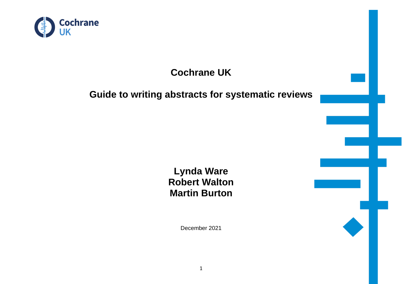

# **Cochrane UK**

# **Guide to writing abstracts for systematic reviews**

**Lynda Ware Robert Walton Martin Burton**

December 2021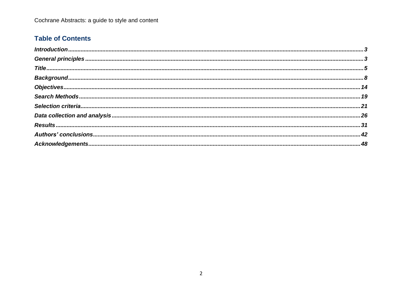# **Table of Contents**

<span id="page-1-0"></span>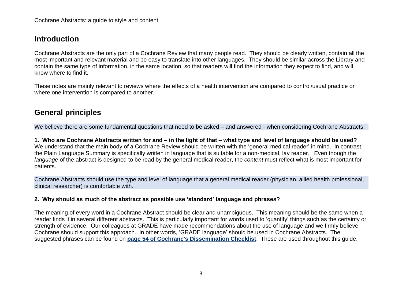# **Introduction**

Cochrane Abstracts are the only part of a Cochrane Review that many people read. They should be clearly written, contain all the most important and relevant material and be easy to translate into other languages. They should be similar across the Library and contain the same type of information, in the same location, so that readers will find the information they expect to find, and will know where to find it.

These notes are mainly relevant to reviews where the effects of a health intervention are compared to control/usual practice or where one intervention is compared to another.

# <span id="page-2-0"></span>**General principles**

We believe there are some fundamental questions that need to be asked – and answered - when considering Cochrane Abstracts.

1. Who are Cochrane Abstracts written for and – in the light of that – what type and level of language should be used? We understand that the main body of a Cochrane Review should be written with the 'general medical reader' in mind. In contrast, the Plain Language Summary is specifically written in language that is suitable for a non-medical, lay reader. Even though the *language* of the abstract is designed to be read by the general medical reader, the *content* must reflect what is most important for patients.

Cochrane Abstracts should use the type and level of language that a general medical reader (physician, allied health professional, clinical researcher) is comfortable with.

#### **2. Why should as much of the abstract as possible use 'standard' language and phrases?**

The meaning of every word in a Cochrane Abstract should be clear and unambiguous. This meaning should be the same when a reader finds it in several different abstracts. This is particularly important for words used to 'quantify' things such as the certainty or strength of evidence. Our colleagues at GRADE have made recommendations about the use of language and we firmly believe Cochrane should support this approach. In other words, 'GRADE language' should be used in Cochrane Abstracts. The suggested phrases can be found on **page 54 of Cochrane's [Dissemination](https://training.cochrane.org/sites/training.cochrane.org/files/public/uploads/Checklist%20FINAL%20version%201.1%20April%202020pdf.pdf) Checklist**. These are used throughout this guide.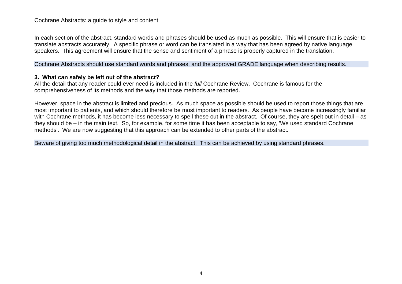#### Cochrane Abstracts: a guide to style and content

In each section of the abstract, standard words and phrases should be used as much as possible. This will ensure that is easier to translate abstracts accurately. A specific phrase or word can be translated in a way that has been agreed by native language speakers. This agreement will ensure that the sense and sentiment of a phrase is properly captured in the translation.

Cochrane Abstracts should use standard words and phrases, and the approved GRADE language when describing results.

#### **3. What can safely be left out of the abstract?**

All the detail that any reader could ever need is included in the *full* Cochrane Review. Cochrane is famous for the comprehensiveness of its methods and the way that those methods are reported.

However, space in the abstract is limited and precious. As much space as possible should be used to report those things that are most important to patients, and which should therefore be most important to readers. As people have become increasingly familiar with Cochrane methods, it has become less necessary to spell these out in the abstract. Of course, they are spelt out in detail – as they should be – in the main text. So, for example, for some time it has been acceptable to say, 'We used standard Cochrane methods'. We are now suggesting that this approach can be extended to other parts of the abstract.

Beware of giving too much methodological detail in the abstract. This can be achieved by using standard phrases.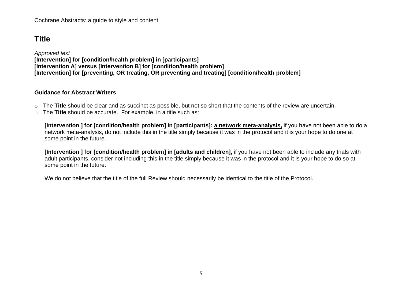# <span id="page-4-0"></span>**Title**

*Approved text* **[Intervention] for [condition/health problem] in [participants] [Intervention A] versus [Intervention B] for [condition/health problem] [Intervention] for [preventing, OR treating, OR preventing and treating] [condition/health problem]**

#### **Guidance for Abstract Writers**

- o The **Title** should be clear and as succinct as possible, but not so short that the contents of the review are uncertain.
- o The **Title** should be accurate. For example, in a title such as:

**[Intervention ] for [condition/health problem] in [participants]: a network meta-analysis,** if you have not been able to do a network meta-analysis, do not include this in the title simply because it was in the protocol and it is your hope to do one at some point in the future.

**[Intervention ] for [condition/health problem] in [adults and children],** if you have not been able to include any trials with adult participants, consider not including this in the title simply because it was in the protocol and it is your hope to do so at some point in the future.

We do not believe that the title of the full Review should necessarily be identical to the title of the Protocol.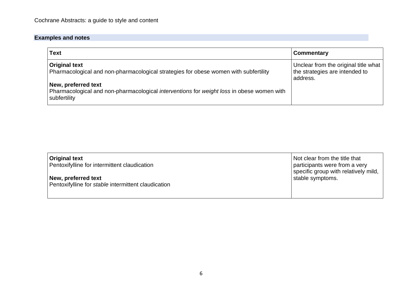| Text                                                                                                                                           | <b>Commentary</b>                                                                  |
|------------------------------------------------------------------------------------------------------------------------------------------------|------------------------------------------------------------------------------------|
| <b>Original text</b><br>Pharmacological and non-pharmacological strategies for obese women with subfertility                                   | Unclear from the original title what<br>the strategies are intended to<br>address. |
| New, preferred text<br>Pharmacological and non-pharmacological <i>interventions</i> for <i>weight loss</i> in obese women with<br>subfertility |                                                                                    |

| <b>Original text</b><br>Pentoxifylline for intermittent claudication       | Not clear from the title that<br>participants were from a very<br>specific group with relatively mild, |
|----------------------------------------------------------------------------|--------------------------------------------------------------------------------------------------------|
| New, preferred text<br>Pentoxifylline for stable intermittent claudication | stable symptoms.                                                                                       |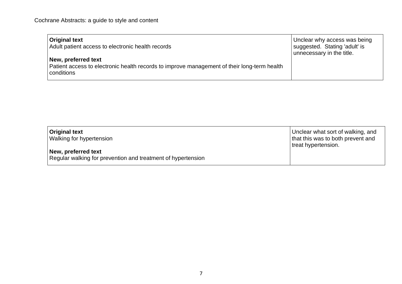| <b>Original text</b><br>Adult patient access to electronic health records                                                        | Unclear why access was being<br>suggested. Stating 'adult' is<br>unnecessary in the title. |
|----------------------------------------------------------------------------------------------------------------------------------|--------------------------------------------------------------------------------------------|
| New, preferred text<br>Patient access to electronic health records to improve management of their long-term health<br>conditions |                                                                                            |

| Original text<br><b>Walking for hypertension</b>                                    | Unclear what sort of walking, and<br>that this was to both prevent and<br>treat hypertension. |
|-------------------------------------------------------------------------------------|-----------------------------------------------------------------------------------------------|
| New, preferred text<br>Regular walking for prevention and treatment of hypertension |                                                                                               |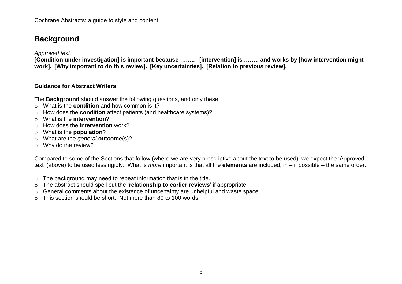# <span id="page-7-0"></span>**Background**

*Approved text*

**[Condition under investigation] is important because …….. [intervention] is …….. and works by [how intervention might work]. [Why important to do this review]. [Key uncertainties]. [Relation to previous review].**

#### **Guidance for Abstract Writers**

The **Background** should answer the following questions, and only these:

- o What is the **condition** and how common is it?
- o How does the **condition** affect patients (and healthcare systems)?
- o What is the **intervention**?
- o How does the **intervention** work?
- o What is the **population**?
- o What are the *general* **outcome**(s)?
- o Why do the review?

Compared to some of the Sections that follow (where we are very prescriptive about the text to be used), we expect the 'Approved text' (above) to be used less rigidly. What is *more* important is that all the **elements** are included, in – if possible – the same order.

- $\circ$  The background may need to repeat information that is in the title.
- o The abstract should spell out the '**relationship to earlier reviews**' if appropriate.
- o General comments about the existence of uncertainty are unhelpful and waste space.
- $\circ$  This section should be short. Not more than 80 to 100 words.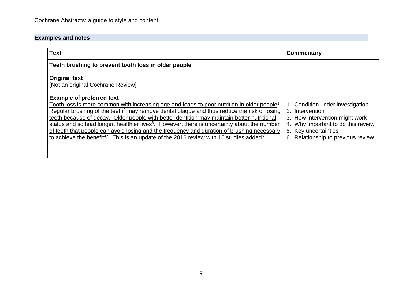| <b>Text</b>                                                                                                                                                                                                                                                                                                                                                                                                                                                                                                                                                                                                                                                                       | Commentary                                                                                                                                                                                   |
|-----------------------------------------------------------------------------------------------------------------------------------------------------------------------------------------------------------------------------------------------------------------------------------------------------------------------------------------------------------------------------------------------------------------------------------------------------------------------------------------------------------------------------------------------------------------------------------------------------------------------------------------------------------------------------------|----------------------------------------------------------------------------------------------------------------------------------------------------------------------------------------------|
| Teeth brushing to prevent tooth loss in older people                                                                                                                                                                                                                                                                                                                                                                                                                                                                                                                                                                                                                              |                                                                                                                                                                                              |
| <b>Original text</b><br>[Not an original Cochrane Review]                                                                                                                                                                                                                                                                                                                                                                                                                                                                                                                                                                                                                         |                                                                                                                                                                                              |
| <b>Example of preferred text</b><br>Tooth loss is more common with increasing age and leads to poor nutrition in older people <sup>1</sup><br>Regular brushing of the teeth <sup>2</sup> may remove dental plaque and thus reduce the risk of losing<br>teeth because of decay. Older people with better dentition may maintain better nutritional<br>status and so lead longer, healthier lives <sup>3</sup> . However, there is uncertainty about the number<br>of teeth that people can avoid losing and the frequency and duration of brushing necessary<br>to achieve the benefit <sup>4,5</sup> . This is an update of the 2016 review with 15 studies added <sup>6</sup> . | 1. Condition under investigation<br>2. Intervention<br>3. How intervention might work<br>Why important to do this review<br>4.<br>5. Key uncertainties<br>6. Relationship to previous review |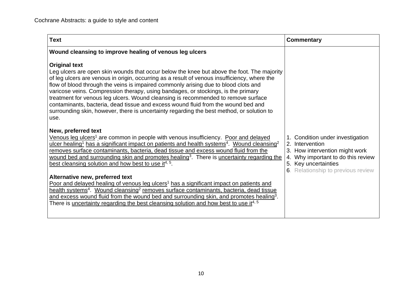| <b>Text</b>                                                                                                                                                                                                                                                                                                                                                                                                                                                                                                                                                                                                                                                                   | Commentary                                                                                                                                                                                   |
|-------------------------------------------------------------------------------------------------------------------------------------------------------------------------------------------------------------------------------------------------------------------------------------------------------------------------------------------------------------------------------------------------------------------------------------------------------------------------------------------------------------------------------------------------------------------------------------------------------------------------------------------------------------------------------|----------------------------------------------------------------------------------------------------------------------------------------------------------------------------------------------|
| Wound cleansing to improve healing of venous leg ulcers                                                                                                                                                                                                                                                                                                                                                                                                                                                                                                                                                                                                                       |                                                                                                                                                                                              |
| <b>Original text</b><br>Leg ulcers are open skin wounds that occur below the knee but above the foot. The majority<br>of leg ulcers are venous in origin, occurring as a result of venous insufficiency, where the<br>flow of blood through the veins is impaired commonly arising due to blood clots and<br>varicose veins. Compression therapy, using bandages, or stockings, is the primary<br>treatment for venous leg ulcers. Wound cleansing is recommended to remove surface<br>contaminants, bacteria, dead tissue and excess wound fluid from the wound bed and<br>surrounding skin, however, there is uncertainty regarding the best method, or solution to<br>use. |                                                                                                                                                                                              |
| New, preferred text<br>Venous leg ulcers <sup>1</sup> are common in people with venous insufficiency. Poor and delayed<br>ulcer healing <sup>1</sup> has a significant impact on patients and health systems <sup>4</sup> . Wound cleansing <sup>2</sup><br>removes surface contaminants, bacteria, dead tissue and excess wound fluid from the<br>wound bed and surrounding skin and promotes healing <sup>3</sup> . There is uncertainty regarding the<br>best cleansing solution and how best to use it <sup>4, 5</sup> .                                                                                                                                                  | 1. Condition under investigation<br>2. Intervention<br>3. How intervention might work<br>Why important to do this review<br>4.<br>Key uncertainties<br>5.<br>Relationship to previous review |
| Alternative new, preferred text<br>Poor and delayed healing of venous leg ulcers <sup>1</sup> has a significant impact on patients and<br>health systems <sup>4</sup> . Wound cleansing <sup>2</sup> removes surface contaminants, bacteria, dead tissue<br>and excess wound fluid from the wound bed and surrounding skin, and promotes healing <sup>3</sup> .<br>There is uncertainty regarding the best cleansing solution and how best to use it <sup>4, 5</sup>                                                                                                                                                                                                          |                                                                                                                                                                                              |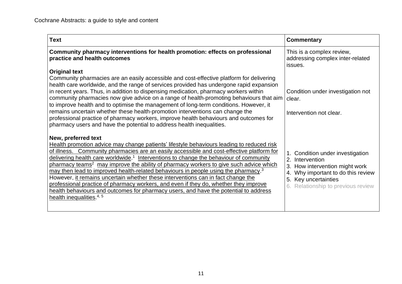| <b>Text</b>                                                                                                                                                                                                                                                                                                                                                                                                                                                                                                                                                                                                                                                                                                                                                                                                                 | <b>Commentary</b>                                                                                                                                                                               |
|-----------------------------------------------------------------------------------------------------------------------------------------------------------------------------------------------------------------------------------------------------------------------------------------------------------------------------------------------------------------------------------------------------------------------------------------------------------------------------------------------------------------------------------------------------------------------------------------------------------------------------------------------------------------------------------------------------------------------------------------------------------------------------------------------------------------------------|-------------------------------------------------------------------------------------------------------------------------------------------------------------------------------------------------|
| Community pharmacy interventions for health promotion: effects on professional<br>practice and health outcomes                                                                                                                                                                                                                                                                                                                                                                                                                                                                                                                                                                                                                                                                                                              | This is a complex review,<br>addressing complex inter-related<br>issues.                                                                                                                        |
| <b>Original text</b><br>Community pharmacies are an easily accessible and cost-effective platform for delivering<br>health care worldwide, and the range of services provided has undergone rapid expansion<br>in recent years. Thus, in addition to dispensing medication, pharmacy workers within<br>community pharmacies now give advice on a range of health-promoting behaviours that aim<br>to improve health and to optimise the management of long-term conditions. However, it<br>remains uncertain whether these health-promotion interventions can change the<br>professional practice of pharmacy workers, improve health behaviours and outcomes for<br>pharmacy users and have the potential to address health inequalities.                                                                                  | Condition under investigation not<br>clear.<br>Intervention not clear.                                                                                                                          |
| New, preferred text<br>Health promotion advice may change patients' lifestyle behaviours leading to reduced risk<br>of illness. Community pharmacies are an easily accessible and cost-effective platform for<br>delivering health care worldwide. <sup>1</sup> Interventions to change the behaviour of community<br>pharmacy teams <sup>2</sup> may improve the ability of pharmacy workers to give such advice which<br>may then lead to improved health-related behaviours in people using the pharmacy. <sup>3</sup><br>However, it remains uncertain whether these interventions can in fact change the<br>professional practice of pharmacy workers, and even if they do, whether they improve<br>health behaviours and outcomes for pharmacy users, and have the potential to address<br>health inequalities. $4,5$ | 1. Condition under investigation<br>2. Intervention<br>3.<br>How intervention might work<br>Why important to do this review<br>4.<br>5. Key uncertainties<br>6. Relationship to previous review |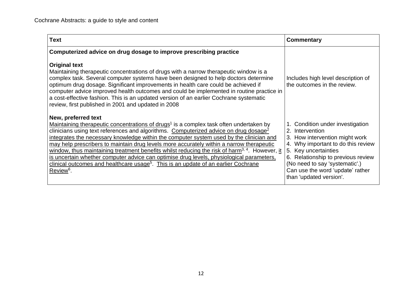| <b>Text</b>                                                                                                                                                                                                                                                                                                                                                                                                                                                                                                                                                                                                                                                                                                                                               | Commentary                                                                                                                                                                                                                                                                                 |
|-----------------------------------------------------------------------------------------------------------------------------------------------------------------------------------------------------------------------------------------------------------------------------------------------------------------------------------------------------------------------------------------------------------------------------------------------------------------------------------------------------------------------------------------------------------------------------------------------------------------------------------------------------------------------------------------------------------------------------------------------------------|--------------------------------------------------------------------------------------------------------------------------------------------------------------------------------------------------------------------------------------------------------------------------------------------|
| Computerized advice on drug dosage to improve prescribing practice                                                                                                                                                                                                                                                                                                                                                                                                                                                                                                                                                                                                                                                                                        |                                                                                                                                                                                                                                                                                            |
| <b>Original text</b><br>Maintaining therapeutic concentrations of drugs with a narrow therapeutic window is a<br>complex task. Several computer systems have been designed to help doctors determine<br>optimum drug dosage. Significant improvements in health care could be achieved if<br>computer advice improved health outcomes and could be implemented in routine practice in<br>a cost-effective fashion. This is an updated version of an earlier Cochrane systematic<br>review, first published in 2001 and updated in 2008                                                                                                                                                                                                                    | Includes high level description of<br>the outcomes in the review.                                                                                                                                                                                                                          |
| New, preferred text<br>Maintaining therapeutic concentrations of drugs <sup>1</sup> is a complex task often undertaken by<br>clinicians using text references and algorithms. Computerized advice on drug dosage <sup>2</sup><br>integrates the necessary knowledge within the computer system used by the clinician and<br>may help prescribers to maintain drug levels more accurately within a narrow therapeutic<br>window, thus maintaining treatment benefits whilst reducing the risk of harm <sup>3, 4</sup> . However, it<br>is uncertain whether computer advice can optimise drug levels, physiological parameters,<br>clinical outcomes and healthcare usage <sup>5</sup> . This is an update of an earlier Cochrane<br>Review <sup>6</sup> . | 1. Condition under investigation<br>2. Intervention<br>3. How intervention might work<br>4. Why important to do this review<br>5. Key uncertainties<br>6. Relationship to previous review<br>(No need to say 'systematic'.)<br>Can use the word 'update' rather<br>than 'updated version'. |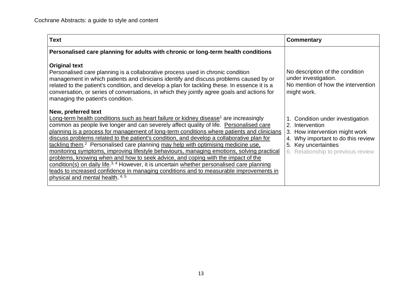| <b>Text</b>                                                                                                                                                                                                                                                                                                                                                                                                                                                                                                                                                                                                                                                                                                                                                                                                                                                                                                                               | Commentary                                                                                                                                                                                   |
|-------------------------------------------------------------------------------------------------------------------------------------------------------------------------------------------------------------------------------------------------------------------------------------------------------------------------------------------------------------------------------------------------------------------------------------------------------------------------------------------------------------------------------------------------------------------------------------------------------------------------------------------------------------------------------------------------------------------------------------------------------------------------------------------------------------------------------------------------------------------------------------------------------------------------------------------|----------------------------------------------------------------------------------------------------------------------------------------------------------------------------------------------|
| Personalised care planning for adults with chronic or long-term health conditions                                                                                                                                                                                                                                                                                                                                                                                                                                                                                                                                                                                                                                                                                                                                                                                                                                                         |                                                                                                                                                                                              |
| <b>Original text</b><br>Personalised care planning is a collaborative process used in chronic condition<br>management in which patients and clinicians identify and discuss problems caused by or<br>related to the patient's condition, and develop a plan for tackling these. In essence it is a<br>conversation, or series of conversations, in which they jointly agree goals and actions for<br>managing the patient's condition.                                                                                                                                                                                                                                                                                                                                                                                                                                                                                                    | No description of the condition<br>under investigation.<br>No mention of how the intervention<br>might work.                                                                                 |
| New, preferred text<br>Long-term health conditions such as heart failure or kidney disease <sup>1</sup> are increasingly<br>common as people live longer and can severely affect quality of life. Personalised care<br>planning is a process for management of long-term conditions where patients and clinicians<br>discuss problems related to the patient's condition, and develop a collaborative plan for<br>tackling them. <sup>2</sup> Personalised care planning may help with optimising medicine use.<br>monitoring symptoms, improving lifestyle behaviours, managing emotions, solving practical<br>problems, knowing when and how to seek advice, and coping with the impact of the<br>condition(s) on daily life. <sup>3, 4</sup> However, it is uncertain whether personalised care planning<br>leads to increased confidence in managing conditions and to measurable improvements in<br>physical and mental health. 4, 5 | 1. Condition under investigation<br>2. Intervention<br>3.<br>How intervention might work<br>Why important to do this review<br>5.<br>Key uncertainties<br>6. Relationship to previous review |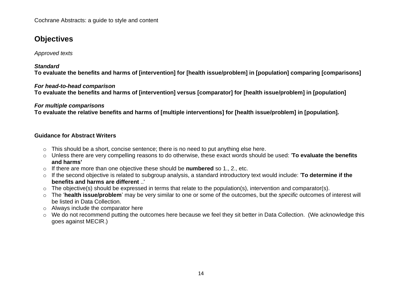# <span id="page-13-0"></span>**Objectives**

*Approved texts*

#### *Standard*

**To evaluate the benefits and harms of [intervention] for [health issue/problem] in [population] comparing [comparisons]**

#### *For head-to-head comparison*

**To evaluate the benefits and harms of [intervention] versus [comparator] for [health issue/problem] in [population]**

#### *For multiple comparisons*

**To evaluate the relative benefits and harms of [multiple interventions] for [health issue/problem] in [population].**

#### **Guidance for Abstract Writers**

- o This should be a short, concise sentence; there is no need to put anything else here.
- o Unless there are very compelling reasons to do otherwise, these exact words should be used: '**To evaluate the benefits and harms'**
- o If there are more than one objective these should be **numbered** so 1., 2., etc.
- o If the second objective is related to subgroup analysis, a standard introductory text would include: '**To determine if the benefits and harms are different** ..'
- $\circ$  The objective(s) should be expressed in terms that relate to the population(s), intervention and comparator(s).
- o The '**health issue/problem**' may be very similar to one or some of the outcomes, but the *specific* outcomes of interest will be listed in Data Collection.
- o Always include the comparator here
- o We do not recommend putting the outcomes here because we feel they sit better in Data Collection. (We acknowledge this goes against MECIR.)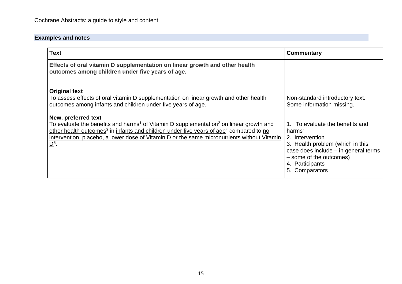| <b>Text</b>                                                                                                                                                                                                                                                                                                                                                                                                                                                                                                                                        | Commentary                                                                                                                                                                                                                            |
|----------------------------------------------------------------------------------------------------------------------------------------------------------------------------------------------------------------------------------------------------------------------------------------------------------------------------------------------------------------------------------------------------------------------------------------------------------------------------------------------------------------------------------------------------|---------------------------------------------------------------------------------------------------------------------------------------------------------------------------------------------------------------------------------------|
| Effects of oral vitamin D supplementation on linear growth and other health<br>outcomes among children under five years of age.                                                                                                                                                                                                                                                                                                                                                                                                                    |                                                                                                                                                                                                                                       |
| <b>Original text</b><br>To assess effects of oral vitamin D supplementation on linear growth and other health<br>outcomes among infants and children under five years of age.<br>New, preferred text<br>To evaluate the benefits and harms <sup>1</sup> of Vitamin D supplementation <sup>2</sup> on linear growth and<br>other health outcomes <sup>3</sup> in infants and children under five years of age <sup>4</sup> compared to no<br>intervention, placebo, a lower dose of Vitamin D or the same micronutrients without Vitamin<br>$D^5$ . | Non-standard introductory text.<br>Some information missing.<br>1. To evaluate the benefits and<br>harms'<br>2. Intervention<br>3. Health problem (which in this<br>case does include $-$ in general terms<br>- some of the outcomes) |
|                                                                                                                                                                                                                                                                                                                                                                                                                                                                                                                                                    | 4. Participants<br>5. Comparators                                                                                                                                                                                                     |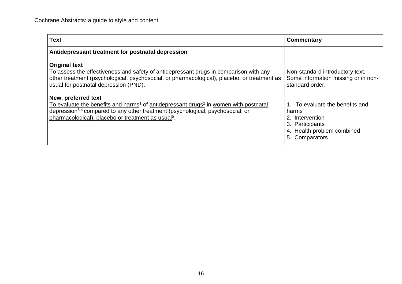| <b>Text</b>                                                                                                                                                                                                                                                                                         | Commentary                                                                                                                      |
|-----------------------------------------------------------------------------------------------------------------------------------------------------------------------------------------------------------------------------------------------------------------------------------------------------|---------------------------------------------------------------------------------------------------------------------------------|
| Antidepressant treatment for postnatal depression                                                                                                                                                                                                                                                   |                                                                                                                                 |
| <b>Original text</b><br>To assess the effectiveness and safety of antidepressant drugs in comparison with any<br>other treatment (psychological, psychosocial, or pharmacological), placebo, or treatment as<br>usual for postnatal depression (PND).                                               | Non-standard introductory text.<br>Some information missing or in non-<br>standard order.                                       |
| New, preferred text<br>To evaluate the benefits and harms <sup>1</sup> of antidepressant drugs <sup>2</sup> in women with postnatal<br>depression <sup>3,4</sup> compared to any other treatment (psychological, psychosocial, or<br>pharmacological), placebo or treatment as usual <sup>5</sup> . | 1. To evaluate the benefits and<br>harms'<br>2. Intervention<br>3. Participants<br>4. Health problem combined<br>5. Comparators |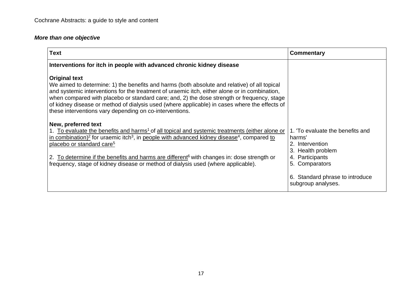## *More than one objective*

| <b>Text</b>                                                                                                                                                                                                                                                                                                                                                                                                                                                                     | Commentary                                                                                 |
|---------------------------------------------------------------------------------------------------------------------------------------------------------------------------------------------------------------------------------------------------------------------------------------------------------------------------------------------------------------------------------------------------------------------------------------------------------------------------------|--------------------------------------------------------------------------------------------|
| Interventions for itch in people with advanced chronic kidney disease                                                                                                                                                                                                                                                                                                                                                                                                           |                                                                                            |
| <b>Original text</b><br>We aimed to determine: 1) the benefits and harms (both absolute and relative) of all topical<br>and systemic interventions for the treatment of uraemic itch, either alone or in combination,<br>when compared with placebo or standard care; and, 2) the dose strength or frequency, stage<br>of kidney disease or method of dialysis used (where applicable) in cases where the effects of<br>these interventions vary depending on co-interventions. |                                                                                            |
| New, preferred text<br>1. To evaluate the benefits and harms <sup>1</sup> of all topical and systemic treatments (either alone or<br>in combination) <sup>2</sup> for uraemic itch <sup>3</sup> , in people with advanced kidney disease <sup>4</sup> , compared to<br>placebo or standard care <sup>5</sup>                                                                                                                                                                    | 1. To evaluate the benefits and<br>harms'<br>2. Intervention<br>3. Health problem          |
| 2. To determine if the benefits and harms are different <sup>6</sup> with changes in: dose strength or<br>frequency, stage of kidney disease or method of dialysis used (where applicable).                                                                                                                                                                                                                                                                                     | 4. Participants<br>5. Comparators<br>6. Standard phrase to introduce<br>subgroup analyses. |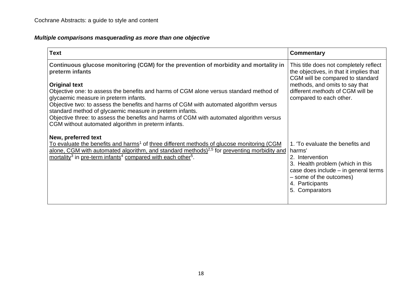### *Multiple comparisons masquerading as more than one objective*

| <b>Text</b>                                                                                                                                        | Commentary                                                                                                            |
|----------------------------------------------------------------------------------------------------------------------------------------------------|-----------------------------------------------------------------------------------------------------------------------|
| Continuous glucose monitoring (CGM) for the prevention of morbidity and mortality in<br>preterm infants                                            | This title does not completely reflect<br>the objectives, in that it implies that<br>CGM will be compared to standard |
| <b>Original text</b>                                                                                                                               | methods, and omits to say that                                                                                        |
| Objective one: to assess the benefits and harms of CGM alone versus standard method of<br>glycaemic measure in preterm infants.                    | different <i>methods</i> of CGM will be<br>compared to each other.                                                    |
| Objective two: to assess the benefits and harms of CGM with automated algorithm versus<br>standard method of glycaemic measure in preterm infants. |                                                                                                                       |
| Objective three: to assess the benefits and harms of CGM with automated algorithm versus                                                           |                                                                                                                       |
| CGM without automated algorithm in preterm infants.                                                                                                |                                                                                                                       |
| New, preferred text                                                                                                                                |                                                                                                                       |
| To evaluate the benefits and harms <sup>1</sup> of three different methods of glucose monitoring (CGM                                              | 1. To evaluate the benefits and                                                                                       |
| alone, CGM with automated algorithm, and standard methods) <sup>2,5</sup> for preventing morbidity and                                             | harms'                                                                                                                |
| mortality <sup>3</sup> in pre-term infants <sup>4</sup> compared with each other <sup>5</sup> .                                                    | 2. Intervention                                                                                                       |
|                                                                                                                                                    | 3. Health problem (which in this                                                                                      |
|                                                                                                                                                    | case does include $-$ in general terms<br>- some of the outcomes)                                                     |
|                                                                                                                                                    | 4. Participants                                                                                                       |
|                                                                                                                                                    | 5. Comparators                                                                                                        |
|                                                                                                                                                    |                                                                                                                       |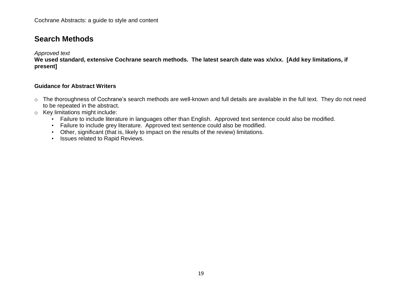# <span id="page-18-0"></span>**Search Methods**

*Approved text*

**We used standard, extensive Cochrane search methods. The latest search date was x/x/xx. [Add key limitations, if present]**

#### **Guidance for Abstract Writers**

- o The thoroughness of Cochrane's search methods are well-known and full details are available in the full text. They do not need to be repeated in the abstract.
- o Key limitations might include:
	- Failure to include literature in languages other than English. Approved text sentence could also be modified.
	- Failure to include grey literature. Approved text sentence could also be modified.
	- Other, significant (that is, likely to impact on the results of the review) limitations.
	- Issues related to Rapid Reviews.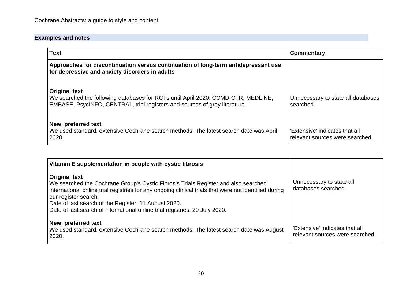| <b>Text</b>                                                                                                                                                                             | Commentary                                                        |
|-----------------------------------------------------------------------------------------------------------------------------------------------------------------------------------------|-------------------------------------------------------------------|
| Approaches for discontinuation versus continuation of long-term antidepressant use<br>for depressive and anxiety disorders in adults                                                    |                                                                   |
| <b>Original text</b><br>We searched the following databases for RCTs until April 2020: CCMD-CTR, MEDLINE,<br>EMBASE, PsycINFO, CENTRAL, trial registers and sources of grey literature. | Unnecessary to state all databases<br>searched.                   |
| New, preferred text<br>We used standard, extensive Cochrane search methods. The latest search date was April<br>2020.                                                                   | 'Extensive' indicates that all<br>relevant sources were searched. |

| Vitamin E supplementation in people with cystic fibrosis                                                                                                                                                                                                                                                                                                                           |                                                                   |
|------------------------------------------------------------------------------------------------------------------------------------------------------------------------------------------------------------------------------------------------------------------------------------------------------------------------------------------------------------------------------------|-------------------------------------------------------------------|
| <b>Original text</b><br>We searched the Cochrane Group's Cystic Fibrosis Trials Register and also searched<br>international online trial registries for any ongoing clinical trials that were not identified during<br>our register search.<br>Date of last search of the Register: 11 August 2020.<br>Date of last search of international online trial registries: 20 July 2020. | Unnecessary to state all<br>databases searched.                   |
| New, preferred text<br>We used standard, extensive Cochrane search methods. The latest search date was August<br>2020.                                                                                                                                                                                                                                                             | 'Extensive' indicates that all<br>relevant sources were searched. |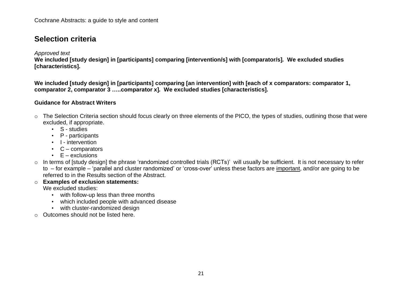# <span id="page-20-0"></span>**Selection criteria**

#### *Approved text*

**We included [study design] in [participants] comparing [intervention/s] with [comparator/s]***.* **We excluded studies [characteristics].** 

We included [study design] in [participants] comparing [an intervention] with [each of x comparators: comparator 1, **comparator 2, comparator 3 …..comparator x]***.* **We excluded studies [characteristics].** 

#### **Guidance for Abstract Writers**

- o The Selection Criteria section should focus clearly on three elements of the PICO, the types of studies, outlining those that were excluded, if appropriate.
	- S studies
	- P participants
	- I intervention
	- C comparators
	- $\cdot$  E exclusions
- o In terms of [study design] the phrase 'randomized controlled trials (RCTs)' will usually be sufficient. It is not necessary to refer to – for example – 'parallel and cluster randomized' or 'cross-over' unless these factors are important, and/or are going to be referred to in the Results section of the Abstract.
- o **Examples of exclusion statements:** We excluded studies:
	- with follow-up less than three months
	- which included people with advanced disease
	- with cluster-randomized design
- o Outcomes should not be listed here.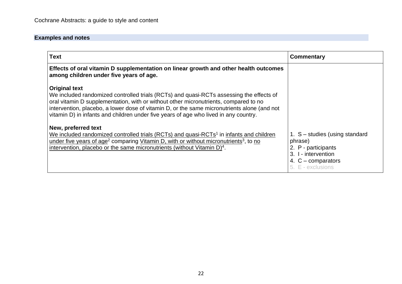| <b>Text</b>                                                                                                                                                                                                                                                                                                                                                                                    | Commentary                                                                                                                             |
|------------------------------------------------------------------------------------------------------------------------------------------------------------------------------------------------------------------------------------------------------------------------------------------------------------------------------------------------------------------------------------------------|----------------------------------------------------------------------------------------------------------------------------------------|
| Effects of oral vitamin D supplementation on linear growth and other health outcomes<br>among children under five years of age.                                                                                                                                                                                                                                                                |                                                                                                                                        |
| <b>Original text</b><br>We included randomized controlled trials (RCTs) and quasi-RCTs assessing the effects of<br>oral vitamin D supplementation, with or without other micronutrients, compared to no<br>intervention, placebo, a lower dose of vitamin D, or the same micronutrients alone (and not<br>vitamin D) in infants and children under five years of age who lived in any country. |                                                                                                                                        |
| New, preferred text<br>We included randomized controlled trials (RCTs) and quasi-RCTs <sup>1</sup> in infants and children<br>under five years of age <sup>2</sup> comparing Vitamin D, with or without micronutrients <sup>3</sup> , to no<br>intervention, placebo or the same micronutrients (without Vitamin D) <sup>4</sup> .                                                             | 1. $S$ – studies (using standard<br>phrase)<br>2. P - participants<br>3. I - intervention<br>4. $C$ – comparators<br>5. E - exclusions |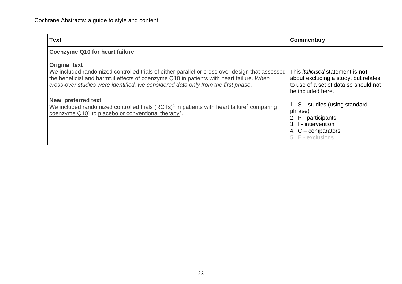| <b>Text</b>                                                                                                                                                                                                                                                                                            | Commentary                                                                                                                                           |
|--------------------------------------------------------------------------------------------------------------------------------------------------------------------------------------------------------------------------------------------------------------------------------------------------------|------------------------------------------------------------------------------------------------------------------------------------------------------|
| <b>Coenzyme Q10 for heart failure</b>                                                                                                                                                                                                                                                                  |                                                                                                                                                      |
| <b>Original text</b><br>We included randomized controlled trials of either parallel or cross-over design that assessed<br>the beneficial and harmful effects of coenzyme Q10 in patients with heart failure. When<br>cross-over studies were identified, we considered data only from the first phase. | This <i>italicised</i> statement is <b>not</b><br>about excluding a study, but relates<br>to use of a set of data so should not<br>be included here. |
| New, preferred text<br>We included randomized controlled trials (RCTs) <sup>1</sup> in patients with heart failure <sup>2</sup> comparing<br>coenzyme $Q103$ to placebo or conventional therapy <sup>4</sup> .                                                                                         | 1. S - studies (using standard<br>phrase)<br>2. P - participants<br>3. I - intervention<br>4. $C$ – comparators<br>5. E - exclusions                 |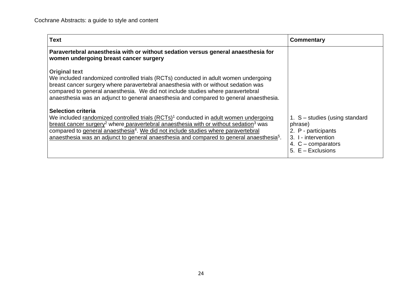| <b>Text</b>                                                                                                                                                                                                                                                                                                                                                                                                                                            | Commentary                                                                                                                               |
|--------------------------------------------------------------------------------------------------------------------------------------------------------------------------------------------------------------------------------------------------------------------------------------------------------------------------------------------------------------------------------------------------------------------------------------------------------|------------------------------------------------------------------------------------------------------------------------------------------|
| Paravertebral anaesthesia with or without sedation versus general anaesthesia for<br>women undergoing breast cancer surgery                                                                                                                                                                                                                                                                                                                            |                                                                                                                                          |
| <b>Original text</b><br>We included randomized controlled trials (RCTs) conducted in adult women undergoing<br>breast cancer surgery where paravertebral anaesthesia with or without sedation was<br>compared to general anaesthesia. We did not include studies where paravertebral<br>anaesthesia was an adjunct to general anaesthesia and compared to general anaesthesia.                                                                         |                                                                                                                                          |
| <b>Selection criteria</b><br>We included randomized controlled trials (RCTs) <sup>1</sup> conducted in adult women undergoing<br>breast cancer surgery <sup>2</sup> where paravertebral anaesthesia with or without sedation <sup>3</sup> was<br>compared to general anaesthesia <sup>4</sup> . We did not include studies where paravertebral<br>anaesthesia was an adjunct to general anaesthesia and compared to general anaesthesia <sup>5</sup> . | 1. $S$ – studies (using standard<br>phrase)<br>2. P - participants<br>3. I - intervention<br>4. $C$ – comparators<br>5. $E - Exclusions$ |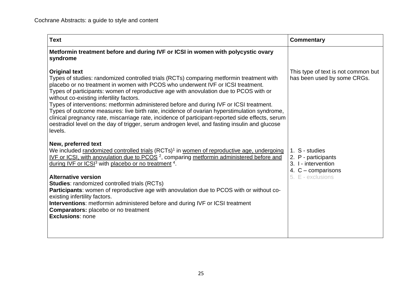| <b>Text</b>                                                                                                                                                                                                                                                                                                                                                                                                                                                                                                                                                                                                                                                                                                                                        | <b>Commentary</b>                                                                                         |
|----------------------------------------------------------------------------------------------------------------------------------------------------------------------------------------------------------------------------------------------------------------------------------------------------------------------------------------------------------------------------------------------------------------------------------------------------------------------------------------------------------------------------------------------------------------------------------------------------------------------------------------------------------------------------------------------------------------------------------------------------|-----------------------------------------------------------------------------------------------------------|
| Metformin treatment before and during IVF or ICSI in women with polycystic ovary<br>syndrome                                                                                                                                                                                                                                                                                                                                                                                                                                                                                                                                                                                                                                                       |                                                                                                           |
| <b>Original text</b><br>Types of studies: randomized controlled trials (RCTs) comparing metformin treatment with<br>placebo or no treatment in women with PCOS who underwent IVF or ICSI treatment.<br>Types of participants: women of reproductive age with anovulation due to PCOS with or<br>without co-existing infertility factors.<br>Types of interventions: metformin administered before and during IVF or ICSI treatment.<br>Types of outcome measures: live birth rate, incidence of ovarian hyperstimulation syndrome,<br>clinical pregnancy rate, miscarriage rate, incidence of participant-reported side effects, serum<br>oestradiol level on the day of trigger, serum androgen level, and fasting insulin and glucose<br>levels. | This type of text is not common but<br>has been used by some CRGs.                                        |
| New, preferred text<br>We included randomized controlled trials (RCTs) <sup>1</sup> in women of reproductive age, undergoing<br>IVF or ICSI, with anovulation due to PCOS <sup>2</sup> , comparing metformin administered before and<br>during IVF or ICSI <sup>3</sup> with placebo or no treatment <sup>4</sup> .<br><b>Alternative version</b><br><b>Studies:</b> randomized controlled trials (RCTs)<br>Participants: women of reproductive age with anovulation due to PCOS with or without co-<br>existing infertility factors.<br><b>Interventions:</b> metformin administered before and during IVF or ICSI treatment<br><b>Comparators:</b> placebo or no treatment<br><b>Exclusions: none</b>                                            | 1. S - studies<br>2. P - participants<br>3. I - intervention<br>4. $C$ – comparisons<br>5. E - exclusions |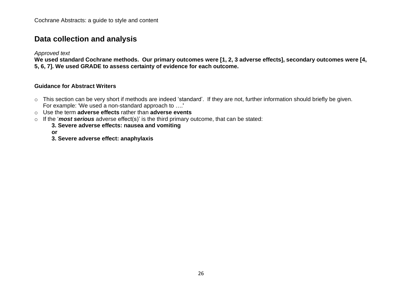## <span id="page-25-0"></span>**Data collection and analysis**

*Approved text*

We used standard Cochrane methods. Our primary outcomes were [1, 2, 3 adverse effects], secondary outcomes were [4, **5, 6, 7]. We used GRADE to assess certainty of evidence for each outcome.** 

#### **Guidance for Abstract Writers**

- o This section can be very short if methods are indeed 'standard'. If they are not, further information should briefly be given. For example: 'We used a non-standard approach to ….'
- o Use the term **adverse effects** rather than **adverse events**
- o If the '*most serious* adverse effect(s)' is the third primary outcome, that can be stated:
	- **3. Severe adverse effects: nausea and vomiting**

**or**

**3. Severe adverse effect: anaphylaxis**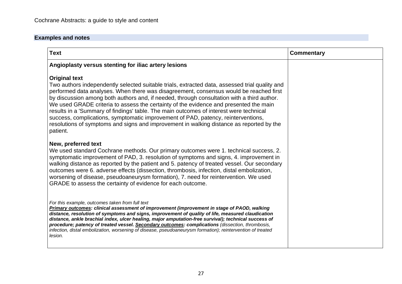| <b>Text</b>                                                                                                                                                                                                                                                                                                                                                                                                                                                                                                                                                                                                                                                                                    | <b>Commentary</b> |
|------------------------------------------------------------------------------------------------------------------------------------------------------------------------------------------------------------------------------------------------------------------------------------------------------------------------------------------------------------------------------------------------------------------------------------------------------------------------------------------------------------------------------------------------------------------------------------------------------------------------------------------------------------------------------------------------|-------------------|
| Angioplasty versus stenting for iliac artery lesions                                                                                                                                                                                                                                                                                                                                                                                                                                                                                                                                                                                                                                           |                   |
| <b>Original text</b><br>Two authors independently selected suitable trials, extracted data, assessed trial quality and<br>performed data analyses. When there was disagreement, consensus would be reached first<br>by discussion among both authors and, if needed, through consultation with a third author.<br>We used GRADE criteria to assess the certainty of the evidence and presented the main<br>results in a 'Summary of findings' table. The main outcomes of interest were technical<br>success, complications, symptomatic improvement of PAD, patency, reinterventions,<br>resolutions of symptoms and signs and improvement in walking distance as reported by the<br>patient. |                   |
| New, preferred text<br>We used standard Cochrane methods. Our primary outcomes were 1. technical success, 2.<br>symptomatic improvement of PAD, 3. resolution of symptoms and signs, 4. improvement in<br>walking distance as reported by the patient and 5. patency of treated vessel. Our secondary<br>outcomes were 6. adverse effects (dissection, thrombosis, infection, distal embolization,<br>worsening of disease, pseudoaneurysm formation), 7. need for reintervention. We used<br>GRADE to assess the certainty of evidence for each outcome.                                                                                                                                      |                   |
| For this example, outcomes taken from full text<br>Primary outcomes: clinical assessment of improvement (improvement in stage of PAOD, walking<br>distance, resolution of symptoms and signs, improvement of quality of life, measured claudication<br>distance, ankle brachial index, ulcer healing, major amputation-free survival); technical success of<br>procedure; patency of treated vessel. Secondary outcomes: complications (dissection, thrombosis,<br>infection, distal embolization, worsening of disease, pseudoaneurysm formation); reintervention of treated<br>lesion.                                                                                                       |                   |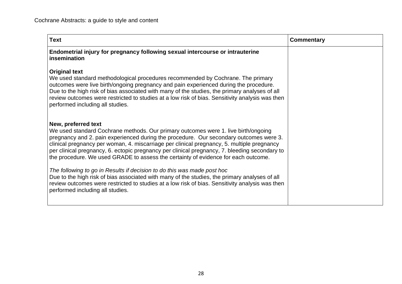| <b>Text</b>                                                                                                                                                                                                                                                                                                                                                                                                                                                                              | Commentary |
|------------------------------------------------------------------------------------------------------------------------------------------------------------------------------------------------------------------------------------------------------------------------------------------------------------------------------------------------------------------------------------------------------------------------------------------------------------------------------------------|------------|
| Endometrial injury for pregnancy following sexual intercourse or intrauterine<br>insemination                                                                                                                                                                                                                                                                                                                                                                                            |            |
| <b>Original text</b><br>We used standard methodological procedures recommended by Cochrane. The primary<br>outcomes were live birth/ongoing pregnancy and pain experienced during the procedure.<br>Due to the high risk of bias associated with many of the studies, the primary analyses of all<br>review outcomes were restricted to studies at a low risk of bias. Sensitivity analysis was then<br>performed including all studies.                                                 |            |
| New, preferred text<br>We used standard Cochrane methods. Our primary outcomes were 1. live birth/ongoing<br>pregnancy and 2. pain experienced during the procedure. Our secondary outcomes were 3.<br>clinical pregnancy per woman, 4. miscarriage per clinical pregnancy, 5. multiple pregnancy<br>per clinical pregnancy, 6. ectopic pregnancy per clinical pregnancy, 7. bleeding secondary to<br>the procedure. We used GRADE to assess the certainty of evidence for each outcome. |            |
| The following to go in Results if decision to do this was made post hoc<br>Due to the high risk of bias associated with many of the studies, the primary analyses of all<br>review outcomes were restricted to studies at a low risk of bias. Sensitivity analysis was then<br>performed including all studies.                                                                                                                                                                          |            |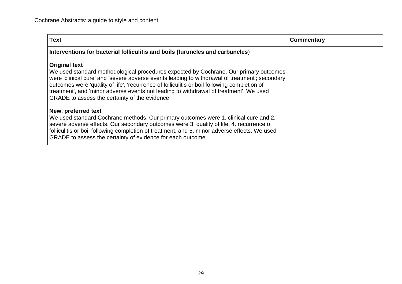| <b>Text</b>                                                                                                                                                                                                                                                                                                                                                                                                                                                | Commentary |
|------------------------------------------------------------------------------------------------------------------------------------------------------------------------------------------------------------------------------------------------------------------------------------------------------------------------------------------------------------------------------------------------------------------------------------------------------------|------------|
| Interventions for bacterial folliculitis and boils (furuncles and carbuncles)                                                                                                                                                                                                                                                                                                                                                                              |            |
| <b>Original text</b><br>We used standard methodological procedures expected by Cochrane. Our primary outcomes<br>were 'clinical cure' and 'severe adverse events leading to withdrawal of treatment'; secondary<br>outcomes were 'quality of life', 'recurrence of folliculitis or boil following completion of<br>treatment', and 'minor adverse events not leading to withdrawal of treatment'. We used<br>GRADE to assess the certainty of the evidence |            |
| New, preferred text<br>We used standard Cochrane methods. Our primary outcomes were 1. clinical cure and 2.<br>severe adverse effects. Our secondary outcomes were 3. quality of life, 4. recurrence of<br>folliculitis or boil following completion of treatment, and 5. minor adverse effects. We used<br>GRADE to assess the certainty of evidence for each outcome.                                                                                    |            |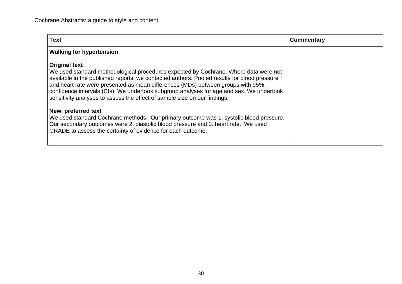| <b>Text</b>                                                                                                                                                                                                                                                                                                                                                                                                                                                             | Commentary |
|-------------------------------------------------------------------------------------------------------------------------------------------------------------------------------------------------------------------------------------------------------------------------------------------------------------------------------------------------------------------------------------------------------------------------------------------------------------------------|------------|
| <b>Walking for hypertension</b>                                                                                                                                                                                                                                                                                                                                                                                                                                         |            |
| <b>Original text</b><br>We used standard methodological procedures expected by Cochrane. Where data were not<br>available in the published reports, we contacted authors. Pooled results for blood pressure<br>and heart rate were presented as mean differences (MDs) between groups with 95%<br>confidence intervals (CIs). We undertook subgroup analyses for age and sex. We undertook<br>sensitivity analyses to assess the effect of sample size on our findings. |            |
| New, preferred text<br>We used standard Cochrane methods. Our primary outcome was 1. systolic blood pressure.<br>Our secondary outcomes were 2. diastolic blood pressure and 3. heart rate. We used<br>GRADE to assess the certainty of evidence for each outcome.                                                                                                                                                                                                      |            |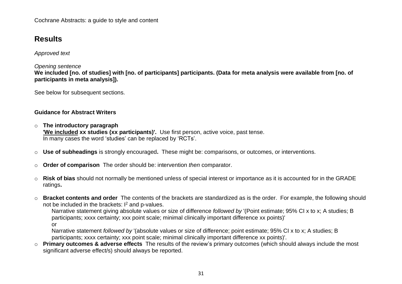Cochrane Abstracts: a guide to style and content

# <span id="page-30-0"></span>**Results**

*Approved text*

#### *Opening sentence*

We included [no. of studies] with [no. of participants] participants. (Data for meta analysis were available from [no. of **participants in meta analysis]).** 

See below for subsequent sections.

#### **Guidance for Abstract Writers**

o **The introductory paragraph**

**'We included xx studies (xx participants)'.** Use first person, active voice, past tense. In many cases the word 'studies' can be replaced by 'RCTs'.

- o **Use of subheadings** is strongly encouraged**.** These might be: comparisons, or outcomes, or interventions.
- o **Order of comparison** The order should be: intervention *then* comparator.
- o **Risk of bias** should not normally be mentioned unless of special interest or importance as it is accounted for in the GRADE ratings**.**
- o **Bracket contents and order** The contents of the brackets are standardized as is the order. For example, the following should not be included in the brackets:  $I^2$  and p-values.

Narrative statement giving absolute values or size of difference *followed by* '(Point estimate; 95% CI x to x; A studies; B participants; xxxx certainty; xxx point scale; minimal clinically important difference xx points)' or

Narrative statement *followed by* '(absolute values or size of difference; point estimate; 95% CI x to x; A studies; B participants; xxxx certainty; xxx point scale; minimal clinically important difference xx points)'.

o **Primary outcomes & adverse effects** The results of the review's primary outcomes (which should always include the most significant adverse effect/s) should always be reported.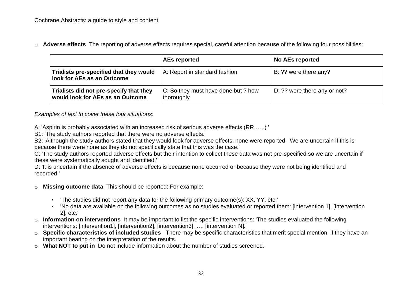o **Adverse effects** The reporting of adverse effects requires special, careful attention because of the following four possibilities:

|                                                                             | <b>AEs reported</b>                               | <b>No AEs reported</b>       |
|-----------------------------------------------------------------------------|---------------------------------------------------|------------------------------|
| Trialists pre-specified that they would<br>look for AEs as an Outcome       | A: Report in standard fashion                     | B: ?? were there any?        |
| Trialists did not pre-specify that they<br>would look for AEs as an Outcome | C: So they must have done but ? how<br>thoroughly | D: ?? were there any or not? |

*Examples of text to cover these four situations:*

A: 'Aspirin is probably associated with an increased risk of serious adverse effects (RR …..).'

B1: 'The study authors reported that there were no adverse effects.'

B2: 'Although the study authors stated that they would look for adverse effects, none were reported. We are uncertain if this is because there were none as they do not specifically state that this was the case.'

C: 'The study authors reported adverse effects but their intention to collect these data was not pre-specified so we are uncertain if these were systematically sought and identified.'

D: 'It is uncertain if the absence of adverse effects is because none occurred or because they were not being identified and recorded.'

- o **Missing outcome data** This should be reported: For example:
	- 'The studies did not report any data for the following primary outcome(s): XX, YY, etc.'
	- 'No data are available on the following outcomes as no studies evaluated or reported them: [intervention 1], [intervention 2], etc.'
- o **Information on interventions** It may be important to list the specific interventions: 'The studies evaluated the following interventions: [intervention1], [intervention2], [intervention3], …. [intervention N].'
- o **Specific characteristics of included studies** There may be specific characteristics that merit special mention, if they have an important bearing on the interpretation of the results.
- o **What NOT to put in** Do not include information about the number of studies screened.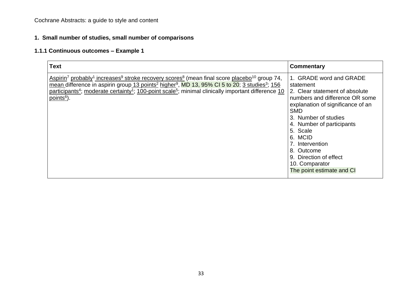### **1. Small number of studies, small number of comparisons**

### **1.1.1 Continuous outcomes – Example 1**

| <b>Text</b>                                                                                                                                                                                                                                                                                                                                                                                                                                                                 | Commentary                                                                                                                                                                                                                                                                                                                                        |
|-----------------------------------------------------------------------------------------------------------------------------------------------------------------------------------------------------------------------------------------------------------------------------------------------------------------------------------------------------------------------------------------------------------------------------------------------------------------------------|---------------------------------------------------------------------------------------------------------------------------------------------------------------------------------------------------------------------------------------------------------------------------------------------------------------------------------------------------|
| $\frac{\text{Aspirin}^7 \text{ probably}^1 \text{ increases}^9 \text{ stroke recovery scores}^8}{\text{roseg}}$ (mean final score placebo <sup>10</sup> group 74,<br>mean difference in aspirin group 13 points <sup>2</sup> higher <sup>9</sup> , MD 13, 95% CI 5 to 20; 3 studies <sup>3</sup> ; 156<br>participants <sup>4</sup> ; moderate certainty <sup>1</sup> ; 100-point scale <sup>5</sup> ; minimal clinically important difference 10<br>points <sup>6</sup> ). | 1. GRADE word and GRADE<br>statement<br>2. Clear statement of absolute<br>numbers and difference OR some<br>explanation of significance of an<br><b>SMD</b><br>3. Number of studies<br>4. Number of participants<br>5. Scale<br>6. MCID<br>7. Intervention<br>8. Outcome<br>9. Direction of effect<br>10. Comparator<br>The point estimate and CI |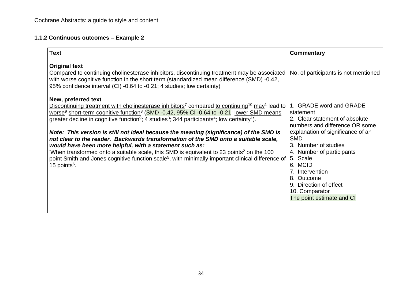### **1.1.2 Continuous outcomes – Example 2**

| <b>Text</b>                                                                                                                                                                                                                                                                                                                                                                                                                                                                                                                                                                                                                                                                                                                                                                                                                                                                                                                   | Commentary                                                                                                                                                                                                                                                                                                                                        |
|-------------------------------------------------------------------------------------------------------------------------------------------------------------------------------------------------------------------------------------------------------------------------------------------------------------------------------------------------------------------------------------------------------------------------------------------------------------------------------------------------------------------------------------------------------------------------------------------------------------------------------------------------------------------------------------------------------------------------------------------------------------------------------------------------------------------------------------------------------------------------------------------------------------------------------|---------------------------------------------------------------------------------------------------------------------------------------------------------------------------------------------------------------------------------------------------------------------------------------------------------------------------------------------------|
| <b>Original text</b><br>Compared to continuing cholinesterase inhibitors, discontinuing treatment may be associated<br>with worse cognitive function in the short term (standardized mean difference (SMD) -0.42,<br>95% confidence interval (CI) -0.64 to -0.21; 4 studies; low certainty)                                                                                                                                                                                                                                                                                                                                                                                                                                                                                                                                                                                                                                   | No. of participants is not mentioned                                                                                                                                                                                                                                                                                                              |
| New, preferred text<br>Discontinuing treatment with cholinesterase inhibitors <sup>7</sup> compared to continuing <sup>10</sup> may <sup>1</sup> lead to<br>worse <sup>9</sup> short-term cognitive function <sup>8</sup> (SMD -0.42, 95% CI -0.64 to -0.21; lower SMD means<br>greater decline in cognitive function <sup>9</sup> ; 4 studies <sup>3</sup> ; 344 participants <sup>4</sup> ; low certainty <sup>1</sup> ).<br>Note: This version is still not ideal because the meaning (significance) of the SMD is<br>not clear to the reader. Backwards transformation of the SMD onto a suitable scale,<br>would have been more helpful, with a statement such as:<br>'When transformed onto a suitable scale, this SMD is equivalent to 23 points <sup>2</sup> on the 100<br>point Smith and Jones cognitive function scale <sup>5</sup> , with minimally important clinical difference of<br>15 points <sup>6</sup> .' | 1. GRADE word and GRADE<br>statement<br>2. Clear statement of absolute<br>numbers and difference OR some<br>explanation of significance of an<br><b>SMD</b><br>3. Number of studies<br>4. Number of participants<br>5. Scale<br>6. MCID<br>7. Intervention<br>8. Outcome<br>9. Direction of effect<br>10. Comparator<br>The point estimate and CI |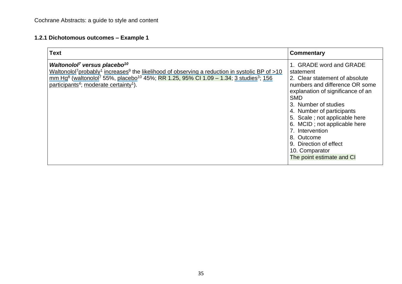## **1.2.1 Dichotomous outcomes – Example 1**

| <b>Text</b>                                                                                                                                                                                                                                                                                                                                                                                           | <b>Commentary</b>                                                                                                                                                                                                                                                                                                                                                                           |
|-------------------------------------------------------------------------------------------------------------------------------------------------------------------------------------------------------------------------------------------------------------------------------------------------------------------------------------------------------------------------------------------------------|---------------------------------------------------------------------------------------------------------------------------------------------------------------------------------------------------------------------------------------------------------------------------------------------------------------------------------------------------------------------------------------------|
| Waltonolol <sup>7</sup> versus placebo <sup>10</sup><br>Waltonolol <sup>7</sup> probably <sup>1</sup> increases <sup>9</sup> the likelihood of observing a reduction in systolic BP of >10<br>mm Hg <sup>8</sup> (waltonolol <sup>7</sup> 55%, placebo <sup>10</sup> 45%; RR 1.25, 95% CI 1.09 – 1.34; 3 studies <sup>3</sup> ; 156<br>participants <sup>4</sup> ; moderate certainty <sup>1</sup> ). | 1. GRADE word and GRADE<br>statement<br>2. Clear statement of absolute<br>numbers and difference OR some<br>explanation of significance of an<br><b>SMD</b><br>3. Number of studies<br>4. Number of participants<br>5. Scale; not applicable here<br>6. MCID; not applicable here<br>7. Intervention<br>8. Outcome<br>9. Direction of effect<br>10. Comparator<br>The point estimate and CI |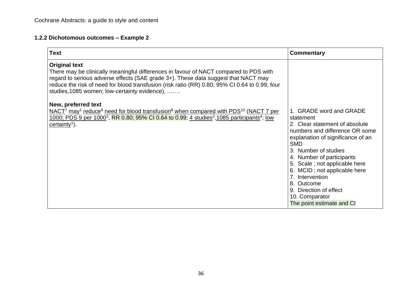## **1.2.2 Dichotomous outcomes – Example 2**

| <b>Text</b>                                                                                                                                                                                                                                                                                                                                            | Commentary                                                                                                                                                                                                                                                                                                                                                                                  |
|--------------------------------------------------------------------------------------------------------------------------------------------------------------------------------------------------------------------------------------------------------------------------------------------------------------------------------------------------------|---------------------------------------------------------------------------------------------------------------------------------------------------------------------------------------------------------------------------------------------------------------------------------------------------------------------------------------------------------------------------------------------|
| <b>Original text</b><br>There may be clinically meaningful differences in favour of NACT compared to PDS with<br>regard to serious adverse effects (SAE grade 3+). These data suggest that NACT may<br>reduce the risk of need for blood transfusion (risk ratio (RR) 0.80; 95% CI 0.64 to 0.99; four<br>studies, 1085 women; low-certainty evidence), |                                                                                                                                                                                                                                                                                                                                                                                             |
| New, preferred text<br>$NACT7$ may <sup>1</sup> reduce <sup>9</sup> need for blood transfusion <sup>8</sup> when compared with PDS <sup>10</sup> (NACT 7 per<br>1000; PDS 9 per 1000 <sup>2</sup> , RR 0.80; 95% CI 0.64 to 0.99; 4 studies <sup>3</sup> ,1085 participants <sup>4</sup> ; low<br>certainty <sup>1</sup> ).                            | 1. GRADE word and GRADE<br>statement<br>2. Clear statement of absolute<br>numbers and difference OR some<br>explanation of significance of an<br><b>SMD</b><br>3. Number of studies<br>4. Number of participants<br>5. Scale; not applicable here<br>6. MCID; not applicable here<br>7. Intervention<br>8. Outcome<br>9. Direction of effect<br>10. Comparator<br>The point estimate and CI |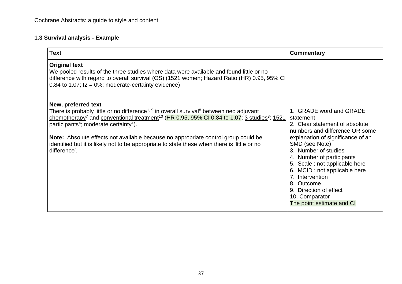# **1.3 Survival analysis - Example**

| <b>Text</b>                                                                                                                                                                                                                                                                                                                                                                                                                                                                                                                                              | Commentary                                                                                                                                                                                                                                                                                                                                                                                      |
|----------------------------------------------------------------------------------------------------------------------------------------------------------------------------------------------------------------------------------------------------------------------------------------------------------------------------------------------------------------------------------------------------------------------------------------------------------------------------------------------------------------------------------------------------------|-------------------------------------------------------------------------------------------------------------------------------------------------------------------------------------------------------------------------------------------------------------------------------------------------------------------------------------------------------------------------------------------------|
| <b>Original text</b><br>We pooled results of the three studies where data were available and found little or no<br>difference with regard to overall survival (OS) (1521 women; Hazard Ratio (HR) 0.95, 95% CI<br>0.84 to 1.07; $12 = 0\%$ ; moderate-certainty evidence)                                                                                                                                                                                                                                                                                |                                                                                                                                                                                                                                                                                                                                                                                                 |
| New, preferred text<br>There is probably little or no difference <sup>1, 9</sup> in overall survival <sup>8</sup> between neo adjuvant<br>chemotherapy <sup>7</sup> and conventional treatment <sup>10</sup> (HR 0.95, 95% CI 0.84 to 1.07; 3 studies <sup>3</sup> ; 1521<br>participants <sup>4</sup> ; moderate certainty <sup>1</sup> ).<br><b>Note:</b> Absolute effects not available because no appropriate control group could be<br>identified but it is likely not to be appropriate to state these when there is 'little or no<br>difference'. | 1. GRADE word and GRADE<br>statement<br>2. Clear statement of absolute<br>numbers and difference OR some<br>explanation of significance of an<br>SMD (see Note)<br>3. Number of studies<br>4. Number of participants<br>5. Scale; not applicable here<br>6. MCID; not applicable here<br>7. Intervention<br>8. Outcome<br>9. Direction of effect<br>10. Comparator<br>The point estimate and CI |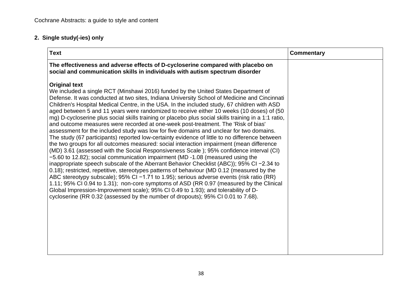# **2. Single study(-ies) only**

| <b>Text</b>                                                                                                                                                                                                                                                                                                                                                                                                                                                                                                                                                                                                                                                                                                                                                                                                                                                                                                                                                                                                                                                                                                                                                                                                                                                                                                                                                                                                                                                                                                                                                                                                                         | <b>Commentary</b> |
|-------------------------------------------------------------------------------------------------------------------------------------------------------------------------------------------------------------------------------------------------------------------------------------------------------------------------------------------------------------------------------------------------------------------------------------------------------------------------------------------------------------------------------------------------------------------------------------------------------------------------------------------------------------------------------------------------------------------------------------------------------------------------------------------------------------------------------------------------------------------------------------------------------------------------------------------------------------------------------------------------------------------------------------------------------------------------------------------------------------------------------------------------------------------------------------------------------------------------------------------------------------------------------------------------------------------------------------------------------------------------------------------------------------------------------------------------------------------------------------------------------------------------------------------------------------------------------------------------------------------------------------|-------------------|
| The effectiveness and adverse effects of D-cycloserine compared with placebo on<br>social and communication skills in individuals with autism spectrum disorder                                                                                                                                                                                                                                                                                                                                                                                                                                                                                                                                                                                                                                                                                                                                                                                                                                                                                                                                                                                                                                                                                                                                                                                                                                                                                                                                                                                                                                                                     |                   |
| <b>Original text</b><br>We included a single RCT (Minshawi 2016) funded by the United States Department of<br>Defense. It was conducted at two sites, Indiana University School of Medicine and Cincinnati<br>Children's Hospital Medical Centre, in the USA. In the included study, 67 children with ASD<br>aged between 5 and 11 years were randomized to receive either 10 weeks (10 doses) of (50<br>mg) D-cycloserine plus social skills training or placebo plus social skills training in a 1:1 ratio,<br>and outcome measures were recorded at one-week post-treatment. The 'Risk of bias'<br>assessment for the included study was low for five domains and unclear for two domains.<br>The study (67 participants) reported low-certainty evidence of little to no difference between<br>the two groups for all outcomes measured: social interaction impairment (mean difference<br>(MD) 3.61 (assessed with the Social Responsiveness Scale); 95% confidence interval (CI)<br>-5.60 to 12.82); social communication impairment (MD -1.08 (measured using the<br>inappropriate speech subscale of the Aberrant Behavior Checklist (ABC)); 95% CI −2.34 to<br>0.18); restricted, repetitive, stereotypes patterns of behaviour (MD 0.12 (measured by the<br>ABC stereotypy subscale); 95% CI -1.71 to 1.95); serious adverse events (risk ratio (RR)<br>1.11; 95% CI 0.94 to 1.31); non-core symptoms of ASD (RR 0.97 (measured by the Clinical<br>Global Impression-Improvement scale); 95% CI 0.49 to 1.93); and tolerability of D-<br>cycloserine (RR 0.32 (assessed by the number of dropouts); 95% CI 0.01 to 7.68). |                   |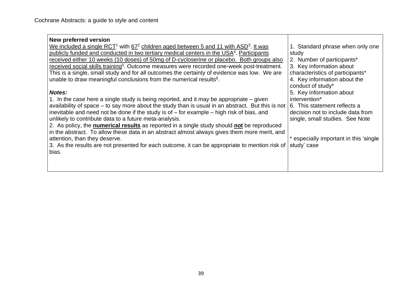.

| <b>New preferred version</b>                                                                                |                                        |
|-------------------------------------------------------------------------------------------------------------|----------------------------------------|
| We included a single $\text{RCT}^1$ with $67^2$ children aged between 5 and 11 with $\text{ASD}^3$ . It was | 1. Standard phrase when only one       |
| publicly funded and conducted in two tertiary medical centers in the USA <sup>4</sup> . Participants        | study                                  |
| received either 10 weeks (10 doses) of 50mg of D-cycloserine or placebo. Both groups also                   | 2. Number of participants*             |
| received social skills training <sup>5</sup> . Outcome measures were recorded one-week post-treatment.      | 3. Key information about               |
| This is a single, small study and for all outcomes the certainty of evidence was low. We are                | characteristics of participants*       |
| unable to draw meaningful conclusions from the numerical results <sup>6</sup> .                             | 4. Key information about the           |
|                                                                                                             | conduct of study*                      |
| <b>Notes:</b>                                                                                               | 5. Key information about               |
| 1. In the case here a single study is being reported, and it may be appropriate – given                     | intervention*                          |
| availability of space – to say more about the study than is usual in an abstract. But this is not           | 6. This statement reflects a           |
| inevitable and need not be done if the study is of $-$ for example $-$ high risk of bias, and               | decision not to include data from      |
| unlikely to contribute data to a future meta-analysis.                                                      | single, small studies. See Note        |
| 2. As policy, the numerical results as reported in a single study should not be reproduced                  |                                        |
| in the abstract. To allow these data in an abstract almost always gives them more merit, and                |                                        |
| attention, than they deserve.                                                                               | * especially important in this 'single |
| 3. As the results are not presented for each outcome, it can be appropriate to mention risk of              | study' case                            |
| bias.                                                                                                       |                                        |
|                                                                                                             |                                        |
|                                                                                                             |                                        |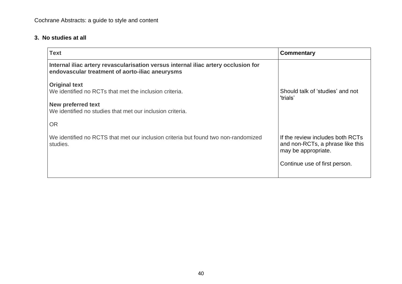#### **3. No studies at all**

| <b>Text</b>                                                                                                                                                                           | Commentary                                                                                                                   |
|---------------------------------------------------------------------------------------------------------------------------------------------------------------------------------------|------------------------------------------------------------------------------------------------------------------------------|
| Internal iliac artery revascularisation versus internal iliac artery occlusion for<br>endovascular treatment of aorto-iliac aneurysms                                                 |                                                                                                                              |
| <b>Original text</b><br>We identified no RCTs that met the inclusion criteria.<br><b>New preferred text</b><br>We identified no studies that met our inclusion criteria.<br><b>OR</b> | Should talk of 'studies' and not<br>'trials'                                                                                 |
| We identified no RCTS that met our inclusion criteria but found two non-randomized<br>studies.                                                                                        | If the review includes both RCTs<br>and non-RCTs, a phrase like this<br>may be appropriate.<br>Continue use of first person. |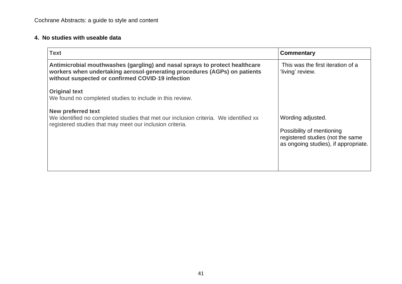#### **4. No studies with useable data**

| <b>Text</b>                                                                                                                                                                                                                                                       | <b>Commentary</b>                                                                                                          |
|-------------------------------------------------------------------------------------------------------------------------------------------------------------------------------------------------------------------------------------------------------------------|----------------------------------------------------------------------------------------------------------------------------|
| Antimicrobial mouthwashes (gargling) and nasal sprays to protect healthcare<br>workers when undertaking aerosol-generating procedures (AGPs) on patients<br>without suspected or confirmed COVID-19 infection                                                     | This was the first iteration of a<br>'living' review.                                                                      |
| <b>Original text</b><br>We found no completed studies to include in this review.<br><b>New preferred text</b><br>We identified no completed studies that met our inclusion criteria. We identified xx<br>registered studies that may meet our inclusion criteria. | Wording adjusted.<br>Possibility of mentioning<br>registered studies (not the same<br>as ongoing studies), if appropriate. |
|                                                                                                                                                                                                                                                                   |                                                                                                                            |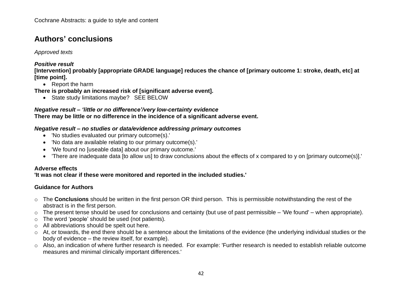# <span id="page-41-0"></span>**Authors' conclusions**

#### *Approved texts*

#### *Positive result*

[Intervention] probably [appropriate GRADE language] reduces the chance of [primary outcome 1: stroke, death, etc] at **[time point].**

• Report the harm

**There is probably an increased risk of [significant adverse event].**

• State study limitations maybe? SEE BELOW

#### *Negative result – 'little or no difference'/very low-certainty evidence* **There may be little or no difference in the incidence of a significant adverse event.**

#### *Negative result – no studies or data/evidence addressing primary outcomes*

- 'No studies evaluated our primary outcome(s).'
- 'No data are available relating to our primary outcome(s).'
- 'We found no [useable data] about our primary outcome.'
- 'There are inadequate data [to allow us] to draw conclusions about the effects of x compared to y on [primary outcome(s)].'

### **Adverse effects**

### **'It was not clear if these were monitored and reported in the included studies.'**

### **Guidance for Authors**

- o The **Conclusions** should be written in the first person OR third person. This is permissible notwithstanding the rest of the abstract is in the first person.
- o The present tense should be used for conclusions and certainty (but use of past permissible 'We found' when appropriate).
- o The word 'people' should be used (not patients).
- o All abbreviations should be spelt out here.
- o At, or towards, the end there should be a sentence about the limitations of the evidence (the underlying individual studies or the body of evidence – the review itself, for example).
- o Also, an indication of where further research is needed. For example: 'Further research is needed to establish reliable outcome measures and minimal clinically important differences.'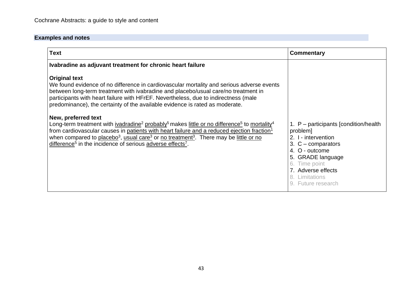| <b>Text</b>                                                                                                                                                                                                                                                                                                                                                                                                                                                                                                                                                                                                                                                                                                                                                                                                                                                                      | Commentary                                                                                                                                                                                                              |
|----------------------------------------------------------------------------------------------------------------------------------------------------------------------------------------------------------------------------------------------------------------------------------------------------------------------------------------------------------------------------------------------------------------------------------------------------------------------------------------------------------------------------------------------------------------------------------------------------------------------------------------------------------------------------------------------------------------------------------------------------------------------------------------------------------------------------------------------------------------------------------|-------------------------------------------------------------------------------------------------------------------------------------------------------------------------------------------------------------------------|
| Ivabradine as adjuvant treatment for chronic heart failure                                                                                                                                                                                                                                                                                                                                                                                                                                                                                                                                                                                                                                                                                                                                                                                                                       |                                                                                                                                                                                                                         |
| <b>Original text</b><br>We found evidence of no difference in cardiovascular mortality and serious adverse events<br>between long-term treatment with ivabradine and placebo/usual care/no treatment in<br>participants with heart failure with HFrEF. Nevertheless, due to indirectness (male<br>predominance), the certainty of the available evidence is rated as moderate.<br>New, preferred text<br>Long-term treatment with ivadradine <sup>2</sup> probably <sup>5</sup> makes little or no difference <sup>5</sup> to mortality <sup>4</sup><br>from cardiovascular causes in patients with heart failure and a reduced ejection fraction <sup>1</sup><br>when compared to placebo <sup>3</sup> , usual care <sup>3</sup> or no treatment <sup>3</sup> . There may be little or no<br>difference <sup>5</sup> in the incidence of serious adverse effects <sup>7</sup> . | 1. P – participants [condition/health]<br>problem]<br>2. I - intervention<br>3. $C$ – comparators<br>4. O - outcome<br>5. GRADE language<br>6. Time point<br>7. Adverse effects<br>8. Limitations<br>9. Future research |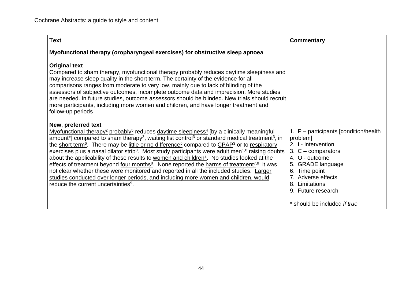| <b>Text</b>                                                                                                                                                                                                                                                                                                                                                                                                                                                                                                                                                                                                                                                                                                                                                                                                                                                                                                                                                                                                                                        | Commentary                                                                                                                                                                                                                |
|----------------------------------------------------------------------------------------------------------------------------------------------------------------------------------------------------------------------------------------------------------------------------------------------------------------------------------------------------------------------------------------------------------------------------------------------------------------------------------------------------------------------------------------------------------------------------------------------------------------------------------------------------------------------------------------------------------------------------------------------------------------------------------------------------------------------------------------------------------------------------------------------------------------------------------------------------------------------------------------------------------------------------------------------------|---------------------------------------------------------------------------------------------------------------------------------------------------------------------------------------------------------------------------|
| Myofunctional therapy (oropharyngeal exercises) for obstructive sleep apnoea                                                                                                                                                                                                                                                                                                                                                                                                                                                                                                                                                                                                                                                                                                                                                                                                                                                                                                                                                                       |                                                                                                                                                                                                                           |
| <b>Original text</b><br>Compared to sham therapy, myofunctional therapy probably reduces daytime sleepiness and<br>may increase sleep quality in the short term. The certainty of the evidence for all<br>comparisons ranges from moderate to very low, mainly due to lack of blinding of the<br>assessors of subjective outcomes, incomplete outcome data and imprecision. More studies<br>are needed. In future studies, outcome assessors should be blinded. New trials should recruit<br>more participants, including more women and children, and have longer treatment and<br>follow-up periods                                                                                                                                                                                                                                                                                                                                                                                                                                              |                                                                                                                                                                                                                           |
| New, preferred text<br>Myofunctional therapy <sup>2</sup> probably <sup>5</sup> reduces daytime sleepiness <sup>4</sup> [by a clinically meaningful]<br>amount <sup>*</sup> ] compared to sham therapy <sup>3</sup> , waiting list control <sup>3</sup> or standard medical treatment <sup>3</sup> , in<br>the short term <sup>6</sup> . There may be little or no difference <sup>5</sup> compared to CPAP <sup>3</sup> or to respiratory<br>exercises plus a nasal dilator strip <sup>3</sup> . Most study participants were adult men <sup>1,8</sup> raising doubts<br>about the applicability of these results to women and children <sup>8</sup> . No studies looked at the<br>effects of treatment beyond <u>four months<sup>8</sup></u> . None reported the harms of treatment <sup>7,8</sup> ; it was<br>not clear whether these were monitored and reported in all the included studies. Larger<br>studies conducted over longer periods, and including more women and children, would<br>reduce the current uncertainties <sup>9</sup> . | 1. $P$ – participants [condition/health]<br>problem]<br>2. I - intervention<br>3. $C$ – comparators<br>4. O - outcome<br>5. GRADE language<br>6. Time point<br>7. Adverse effects<br>8. Limitations<br>9. Future research |
|                                                                                                                                                                                                                                                                                                                                                                                                                                                                                                                                                                                                                                                                                                                                                                                                                                                                                                                                                                                                                                                    | * should be included if true                                                                                                                                                                                              |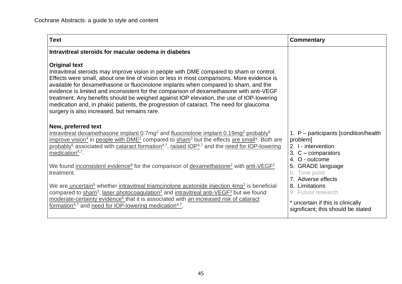| <b>Text</b>                                                                                                                                                                                                                                                                                                                                                                                                                                                                                                                                                                                                                                                                                                                                                                                                                                                                                                                                                                                                                 | Commentary                                                                                                                                                                                                                                                                                              |
|-----------------------------------------------------------------------------------------------------------------------------------------------------------------------------------------------------------------------------------------------------------------------------------------------------------------------------------------------------------------------------------------------------------------------------------------------------------------------------------------------------------------------------------------------------------------------------------------------------------------------------------------------------------------------------------------------------------------------------------------------------------------------------------------------------------------------------------------------------------------------------------------------------------------------------------------------------------------------------------------------------------------------------|---------------------------------------------------------------------------------------------------------------------------------------------------------------------------------------------------------------------------------------------------------------------------------------------------------|
| Intravitreal steroids for macular oedema in diabetes                                                                                                                                                                                                                                                                                                                                                                                                                                                                                                                                                                                                                                                                                                                                                                                                                                                                                                                                                                        |                                                                                                                                                                                                                                                                                                         |
| <b>Original text</b><br>Intravitreal steroids may improve vision in people with DME compared to sham or control.<br>Effects were small, about one line of vision or less in most comparisons. More evidence is<br>available for dexamethasone or fluocinolone implants when compared to sham, and the<br>evidence is limited and inconsistent for the comparison of dexamethasone with anti-VEGF<br>treatment. Any benefits should be weighed against IOP elevation, the use of IOP-lowering<br>medication and, in phakic patients, the progression of cataract. The need for glaucoma<br>surgery is also increased, but remains rare.                                                                                                                                                                                                                                                                                                                                                                                      |                                                                                                                                                                                                                                                                                                         |
| New, preferred text<br>Intravitreal dexamethasone implant $0.7mg^2$ and fluocinolone implant $0.19mg^2$ probably <sup>5</sup><br>improve vision <sup>4</sup> in people with DME <sup>1</sup> compared to sham <sup>3</sup> but the effects are small <sup>*</sup> . Both are<br>probably <sup>5</sup> associated with cataract formation <sup>4,7</sup> , raised IOP <sup>4,7</sup> and the need for IOP-lowering<br>medication $4,7$ .<br>We found inconsistent evidence <sup>8</sup> for the comparison of dexamethasone <sup>2</sup> with anti-VEGF <sup>2</sup><br>treatment.<br>We are uncertain <sup>5</sup> whether intravitreal triamcinolone acetonide injection 4mg <sup>2</sup> is beneficial<br>compared to sham <sup>3</sup> , laser photocoagulation <sup>3</sup> and intravitreal anti-VEGF <sup>3</sup> but we found<br>moderate-certainty evidence <sup>5</sup> that it is associated with an increased risk of cataract<br>formation <sup>4,7</sup> and need for IOP-lowering medication <sup>4,7</sup> . | 1. $P$ – participants [condition/health]<br>problem]<br>2. I - intervention<br>3. $C$ – comparators<br>4. O - outcome<br>5. GRADE language<br>Time point<br>6.<br>7. Adverse effects<br>8. Limitations<br>9. Future research<br>* uncertain if this is clinically<br>significant; this should be stated |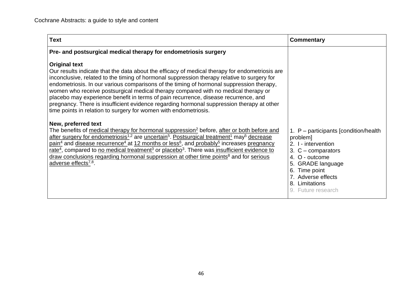| <b>Text</b>                                                                                                                                                                                                                                                                                                                                                                                                                                                                                                                                                                                                                                                                                               | Commentary                                                                                                                                                                                                                |
|-----------------------------------------------------------------------------------------------------------------------------------------------------------------------------------------------------------------------------------------------------------------------------------------------------------------------------------------------------------------------------------------------------------------------------------------------------------------------------------------------------------------------------------------------------------------------------------------------------------------------------------------------------------------------------------------------------------|---------------------------------------------------------------------------------------------------------------------------------------------------------------------------------------------------------------------------|
| Pre- and postsurgical medical therapy for endometriosis surgery                                                                                                                                                                                                                                                                                                                                                                                                                                                                                                                                                                                                                                           |                                                                                                                                                                                                                           |
| <b>Original text</b><br>Our results indicate that the data about the efficacy of medical therapy for endometriosis are<br>inconclusive, related to the timing of hormonal suppression therapy relative to surgery for<br>endometriosis. In our various comparisons of the timing of hormonal suppression therapy,<br>women who receive postsurgical medical therapy compared with no medical therapy or<br>placebo may experience benefit in terms of pain recurrence, disease recurrence, and<br>pregnancy. There is insufficient evidence regarding hormonal suppression therapy at other<br>time points in relation to surgery for women with endometriosis.                                           |                                                                                                                                                                                                                           |
| New, preferred text<br>The benefits of medical therapy for hormonal suppression <sup>2</sup> before, after or both before and<br>after surgery for endometriosis <sup>1,2</sup> are uncertain <sup>5</sup> . Postsurgical treatment <sup>1</sup> may <sup>5</sup> decrease<br>$\gamma$ pain <sup>4</sup> and disease recurrence <sup>4</sup> at 12 months or less <sup>6</sup> , and probably <sup>5</sup> increases pregnancy<br>rate <sup>4</sup> , compared to no medical treatment <sup>3</sup> or placebo <sup>3</sup> . There was insufficient evidence to<br>draw conclusions regarding hormonal suppression at other time points <sup>8</sup> and for serious<br>adverse effects <sup>7,8</sup> . | 1. $P$ – participants [condition/health]<br>problem]<br>2. I - intervention<br>3. $C$ – comparators<br>4. O - outcome<br>5. GRADE language<br>6. Time point<br>7. Adverse effects<br>8. Limitations<br>9. Future research |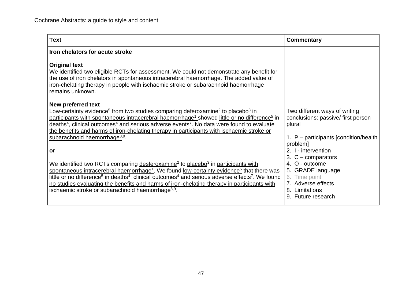| <b>Text</b>                                                                                                                                                                                                                                                                                                          | <b>Commentary</b>                                                   |
|----------------------------------------------------------------------------------------------------------------------------------------------------------------------------------------------------------------------------------------------------------------------------------------------------------------------|---------------------------------------------------------------------|
| Iron chelators for acute stroke                                                                                                                                                                                                                                                                                      |                                                                     |
| <b>Original text</b><br>We identified two eligible RCTs for assessment. We could not demonstrate any benefit for<br>the use of iron chelators in spontaneous intracerebral haemorrhage. The added value of<br>iron-chelating therapy in people with ischaemic stroke or subarachnoid haemorrhage<br>remains unknown. |                                                                     |
| New preferred text                                                                                                                                                                                                                                                                                                   |                                                                     |
| Low-certainty evidence <sup>5</sup> from two studies comparing deferoxamine <sup>2</sup> to placebo <sup>3</sup> in<br>participants with spontaneous intracerebral haemorrhage <sup>1</sup> showed little or no difference <sup>5</sup> in                                                                           | Two different ways of writing<br>conclusions: passive/ first person |
| deaths <sup>4</sup> , clinical outcomes <sup>4</sup> and serious adverse events <sup>7</sup> . No data were found to evaluate                                                                                                                                                                                        | plural                                                              |
| the benefits and harms of iron-chelating therapy in participants with ischaemic stroke or<br>subarachnoid haemorrhage <sup>8,9</sup> .                                                                                                                                                                               |                                                                     |
|                                                                                                                                                                                                                                                                                                                      | 1. $P$ – participants [condition/health]<br>problem]                |
| or                                                                                                                                                                                                                                                                                                                   | 2. I - intervention                                                 |
|                                                                                                                                                                                                                                                                                                                      | 3. $C$ – comparators                                                |
| We identified two RCTs comparing desferoxamine <sup>2</sup> to placebo <sup>3</sup> in participants with                                                                                                                                                                                                             | 4. O - outcome                                                      |
| spontaneous intracerebral haemorrhage <sup>1</sup> . We found low-certainty evidence <sup>5</sup> that there was<br>little or no difference <sup>5</sup> in deaths <sup>4</sup> , clinical outcomes <sup>4</sup> and serious adverse effects <sup>7</sup> . We found                                                 | 5. GRADE language<br>6. Time point                                  |
| no studies evaluating the benefits and harms of iron-chelating therapy in participants with                                                                                                                                                                                                                          | 7. Adverse effects                                                  |
| ischaemic stroke or subarachnoid haemorrhage <sup>8,9</sup> .                                                                                                                                                                                                                                                        | 8. Limitations                                                      |
|                                                                                                                                                                                                                                                                                                                      | 9. Future research                                                  |
|                                                                                                                                                                                                                                                                                                                      |                                                                     |